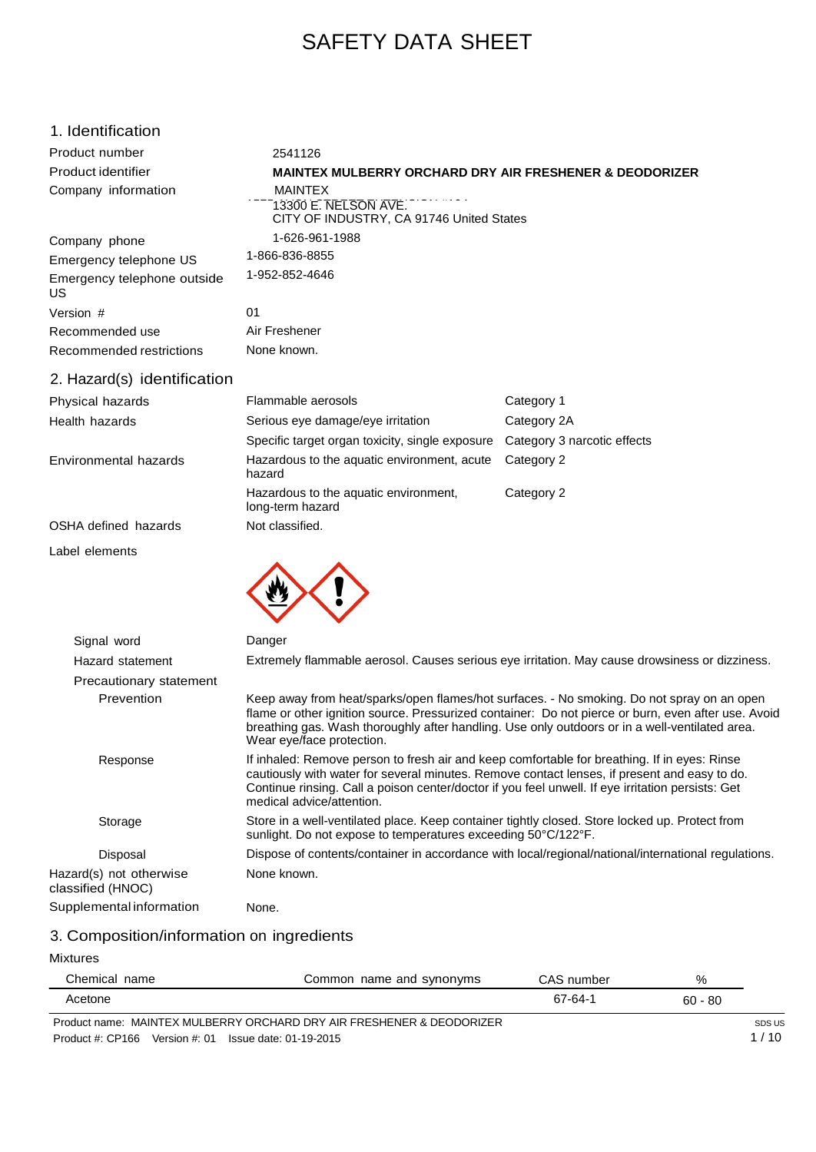# SAFETY DATA SHEET

| 1. Identification                            |                                                                                                                                                                                                                                                                                                                                |                                                                                                                                                                                                                                                                                                     |  |
|----------------------------------------------|--------------------------------------------------------------------------------------------------------------------------------------------------------------------------------------------------------------------------------------------------------------------------------------------------------------------------------|-----------------------------------------------------------------------------------------------------------------------------------------------------------------------------------------------------------------------------------------------------------------------------------------------------|--|
| Product number                               | 2541126                                                                                                                                                                                                                                                                                                                        |                                                                                                                                                                                                                                                                                                     |  |
| Product identifier                           | <b>MAINTEX MULBERRY ORCHARD DRY AIR FRESHENER &amp; DEODORIZER</b>                                                                                                                                                                                                                                                             |                                                                                                                                                                                                                                                                                                     |  |
| Company information                          | <b>MAINTEX</b><br>13300 E. NELSON AVE.<br>CITY OF INDUSTRY, CA 91746 United States                                                                                                                                                                                                                                             |                                                                                                                                                                                                                                                                                                     |  |
| Company phone                                | 1-626-961-1988                                                                                                                                                                                                                                                                                                                 |                                                                                                                                                                                                                                                                                                     |  |
| Emergency telephone US                       | 1-866-836-8855                                                                                                                                                                                                                                                                                                                 |                                                                                                                                                                                                                                                                                                     |  |
| Emergency telephone outside<br>US            | 1-952-852-4646                                                                                                                                                                                                                                                                                                                 |                                                                                                                                                                                                                                                                                                     |  |
| Version #                                    | 01                                                                                                                                                                                                                                                                                                                             |                                                                                                                                                                                                                                                                                                     |  |
| Recommended use                              | Air Freshener                                                                                                                                                                                                                                                                                                                  |                                                                                                                                                                                                                                                                                                     |  |
| Recommended restrictions                     | None known.                                                                                                                                                                                                                                                                                                                    |                                                                                                                                                                                                                                                                                                     |  |
| 2. Hazard(s) identification                  |                                                                                                                                                                                                                                                                                                                                |                                                                                                                                                                                                                                                                                                     |  |
| Physical hazards                             | Flammable aerosols                                                                                                                                                                                                                                                                                                             | Category 1                                                                                                                                                                                                                                                                                          |  |
| Health hazards                               | Serious eye damage/eye irritation                                                                                                                                                                                                                                                                                              | Category 2A                                                                                                                                                                                                                                                                                         |  |
|                                              | Specific target organ toxicity, single exposure                                                                                                                                                                                                                                                                                | Category 3 narcotic effects                                                                                                                                                                                                                                                                         |  |
| Environmental hazards                        | Hazardous to the aquatic environment, acute<br>hazard                                                                                                                                                                                                                                                                          | Category 2                                                                                                                                                                                                                                                                                          |  |
|                                              | Hazardous to the aquatic environment,<br>long-term hazard                                                                                                                                                                                                                                                                      | Category 2                                                                                                                                                                                                                                                                                          |  |
| OSHA defined hazards                         | Not classified.                                                                                                                                                                                                                                                                                                                |                                                                                                                                                                                                                                                                                                     |  |
| Label elements                               |                                                                                                                                                                                                                                                                                                                                |                                                                                                                                                                                                                                                                                                     |  |
| Signal word                                  | Danger                                                                                                                                                                                                                                                                                                                         |                                                                                                                                                                                                                                                                                                     |  |
| Hazard statement                             |                                                                                                                                                                                                                                                                                                                                | Extremely flammable aerosol. Causes serious eye irritation. May cause drowsiness or dizziness.                                                                                                                                                                                                      |  |
| Precautionary statement                      |                                                                                                                                                                                                                                                                                                                                |                                                                                                                                                                                                                                                                                                     |  |
| Prevention                                   | Wear eye/face protection.                                                                                                                                                                                                                                                                                                      | Keep away from heat/sparks/open flames/hot surfaces. - No smoking. Do not spray on an open<br>flame or other ignition source. Pressurized container: Do not pierce or burn, even after use. Avoic<br>breathing gas. Wash thoroughly after handling. Use only outdoors or in a well-ventilated area. |  |
| Response                                     | If inhaled: Remove person to fresh air and keep comfortable for breathing. If in eyes: Rinse<br>cautiously with water for several minutes. Remove contact lenses, if present and easy to do.<br>Continue rinsing. Call a poison center/doctor if you feel unwell. If eye irritation persists: Get<br>medical advice/attention. |                                                                                                                                                                                                                                                                                                     |  |
| Storage                                      | Store in a well-ventilated place. Keep container tightly closed. Store locked up. Protect from<br>sunlight. Do not expose to temperatures exceeding 50°C/122°F.                                                                                                                                                                |                                                                                                                                                                                                                                                                                                     |  |
| Disposal                                     |                                                                                                                                                                                                                                                                                                                                | Dispose of contents/container in accordance with local/regional/national/international regulations.                                                                                                                                                                                                 |  |
| Hazard(s) not otherwise<br>classified (HNOC) | None known.                                                                                                                                                                                                                                                                                                                    |                                                                                                                                                                                                                                                                                                     |  |
| Supplemental information                     | None.                                                                                                                                                                                                                                                                                                                          |                                                                                                                                                                                                                                                                                                     |  |

# 3. Composition/information on ingredients

### Mixtures

| Chemical name | Common name and synonyms                                              | CAS number | %         |       |
|---------------|-----------------------------------------------------------------------|------------|-----------|-------|
| Acetone       |                                                                       | 67-64-1    | $60 - 80$ |       |
|               | Product name: MAINTEX MULBERRY ORCHARD DRY AIR FRESHENER & DEODORIZER |            |           | SDS U |

Product #: CP166 Version #: 01 Issue date: 01-19-2015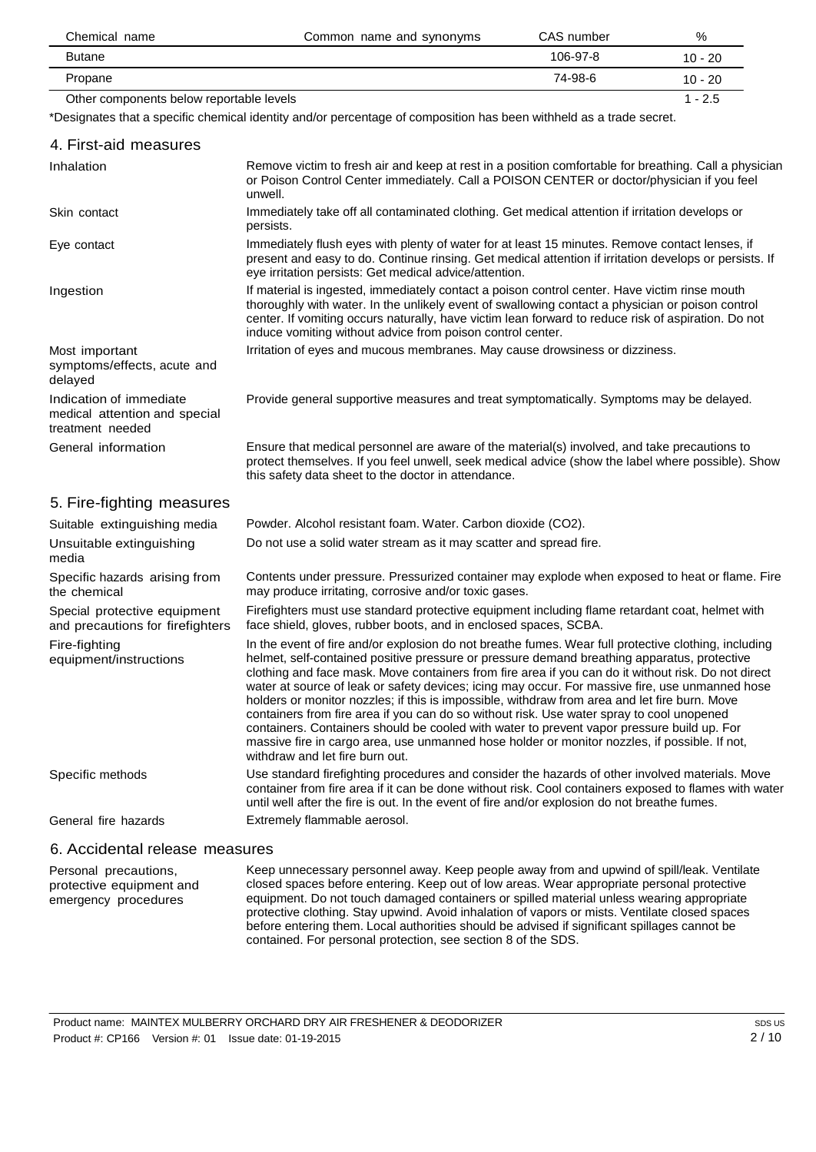| Chemical name                            | Common name and synonyms | CAS number | %         |
|------------------------------------------|--------------------------|------------|-----------|
| <b>Butane</b>                            |                          | $106-97-8$ | $10 - 20$ |
| Propane                                  |                          | 74-98-6    | $10 - 20$ |
| Other components below reportable levels |                          |            | $1 - 2.5$ |

\*Designates that a specific chemical identity and/or percentage of composition has been withheld as a trade secret.

| 4. First-aid measures                                                        |                                                                                                                                                                                                                                                                                                                                                                                                                                                                                                                                                                                                                                                                                                                                                                                                                                               |
|------------------------------------------------------------------------------|-----------------------------------------------------------------------------------------------------------------------------------------------------------------------------------------------------------------------------------------------------------------------------------------------------------------------------------------------------------------------------------------------------------------------------------------------------------------------------------------------------------------------------------------------------------------------------------------------------------------------------------------------------------------------------------------------------------------------------------------------------------------------------------------------------------------------------------------------|
| Inhalation                                                                   | Remove victim to fresh air and keep at rest in a position comfortable for breathing. Call a physician<br>or Poison Control Center immediately. Call a POISON CENTER or doctor/physician if you feel<br>unwell.                                                                                                                                                                                                                                                                                                                                                                                                                                                                                                                                                                                                                                |
| Skin contact                                                                 | Immediately take off all contaminated clothing. Get medical attention if irritation develops or<br>persists.                                                                                                                                                                                                                                                                                                                                                                                                                                                                                                                                                                                                                                                                                                                                  |
| Eye contact                                                                  | Immediately flush eyes with plenty of water for at least 15 minutes. Remove contact lenses, if<br>present and easy to do. Continue rinsing. Get medical attention if irritation develops or persists. If<br>eye irritation persists: Get medical advice/attention.                                                                                                                                                                                                                                                                                                                                                                                                                                                                                                                                                                            |
| Ingestion                                                                    | If material is ingested, immediately contact a poison control center. Have victim rinse mouth<br>thoroughly with water. In the unlikely event of swallowing contact a physician or poison control<br>center. If vomiting occurs naturally, have victim lean forward to reduce risk of aspiration. Do not<br>induce vomiting without advice from poison control center.                                                                                                                                                                                                                                                                                                                                                                                                                                                                        |
| Most important<br>symptoms/effects, acute and<br>delayed                     | Irritation of eyes and mucous membranes. May cause drowsiness or dizziness.                                                                                                                                                                                                                                                                                                                                                                                                                                                                                                                                                                                                                                                                                                                                                                   |
| Indication of immediate<br>medical attention and special<br>treatment needed | Provide general supportive measures and treat symptomatically. Symptoms may be delayed.                                                                                                                                                                                                                                                                                                                                                                                                                                                                                                                                                                                                                                                                                                                                                       |
| General information                                                          | Ensure that medical personnel are aware of the material(s) involved, and take precautions to<br>protect themselves. If you feel unwell, seek medical advice (show the label where possible). Show<br>this safety data sheet to the doctor in attendance.                                                                                                                                                                                                                                                                                                                                                                                                                                                                                                                                                                                      |
| 5. Fire-fighting measures                                                    |                                                                                                                                                                                                                                                                                                                                                                                                                                                                                                                                                                                                                                                                                                                                                                                                                                               |
| Suitable extinguishing media                                                 | Powder. Alcohol resistant foam. Water. Carbon dioxide (CO2).                                                                                                                                                                                                                                                                                                                                                                                                                                                                                                                                                                                                                                                                                                                                                                                  |
| Unsuitable extinguishing<br>media                                            | Do not use a solid water stream as it may scatter and spread fire.                                                                                                                                                                                                                                                                                                                                                                                                                                                                                                                                                                                                                                                                                                                                                                            |
| Specific hazards arising from<br>the chemical                                | Contents under pressure. Pressurized container may explode when exposed to heat or flame. Fire<br>may produce irritating, corrosive and/or toxic gases.                                                                                                                                                                                                                                                                                                                                                                                                                                                                                                                                                                                                                                                                                       |
| Special protective equipment<br>and precautions for firefighters             | Firefighters must use standard protective equipment including flame retardant coat, helmet with<br>face shield, gloves, rubber boots, and in enclosed spaces, SCBA.                                                                                                                                                                                                                                                                                                                                                                                                                                                                                                                                                                                                                                                                           |
| Fire-fighting<br>equipment/instructions                                      | In the event of fire and/or explosion do not breathe fumes. Wear full protective clothing, including<br>helmet, self-contained positive pressure or pressure demand breathing apparatus, protective<br>clothing and face mask. Move containers from fire area if you can do it without risk. Do not direct<br>water at source of leak or safety devices; icing may occur. For massive fire, use unmanned hose<br>holders or monitor nozzles; if this is impossible, withdraw from area and let fire burn. Move<br>containers from fire area if you can do so without risk. Use water spray to cool unopened<br>containers. Containers should be cooled with water to prevent vapor pressure build up. For<br>massive fire in cargo area, use unmanned hose holder or monitor nozzles, if possible. If not,<br>withdraw and let fire burn out. |
| Specific methods                                                             | Use standard firefighting procedures and consider the hazards of other involved materials. Move<br>container from fire area if it can be done without risk. Cool containers exposed to flames with water<br>until well after the fire is out. In the event of fire and/or explosion do not breathe fumes.                                                                                                                                                                                                                                                                                                                                                                                                                                                                                                                                     |
| General fire hazards                                                         | Extremely flammable aerosol.                                                                                                                                                                                                                                                                                                                                                                                                                                                                                                                                                                                                                                                                                                                                                                                                                  |
| 6. Accidental release measures                                               |                                                                                                                                                                                                                                                                                                                                                                                                                                                                                                                                                                                                                                                                                                                                                                                                                                               |

Personal precautions, protective equipment and emergency procedures Keep unnecessary personnel away. Keep people away from and upwind of spill/leak. Ventilate closed spaces before entering. Keep out of low areas. Wear appropriate personal protective equipment. Do not touch damaged containers or spilled material unless wearing appropriate protective clothing. Stay upwind. Avoid inhalation of vapors or mists. Ventilate closed spaces before entering them. Local authorities should be advised if significant spillages cannot be contained. For personal protection, see section 8 of the SDS.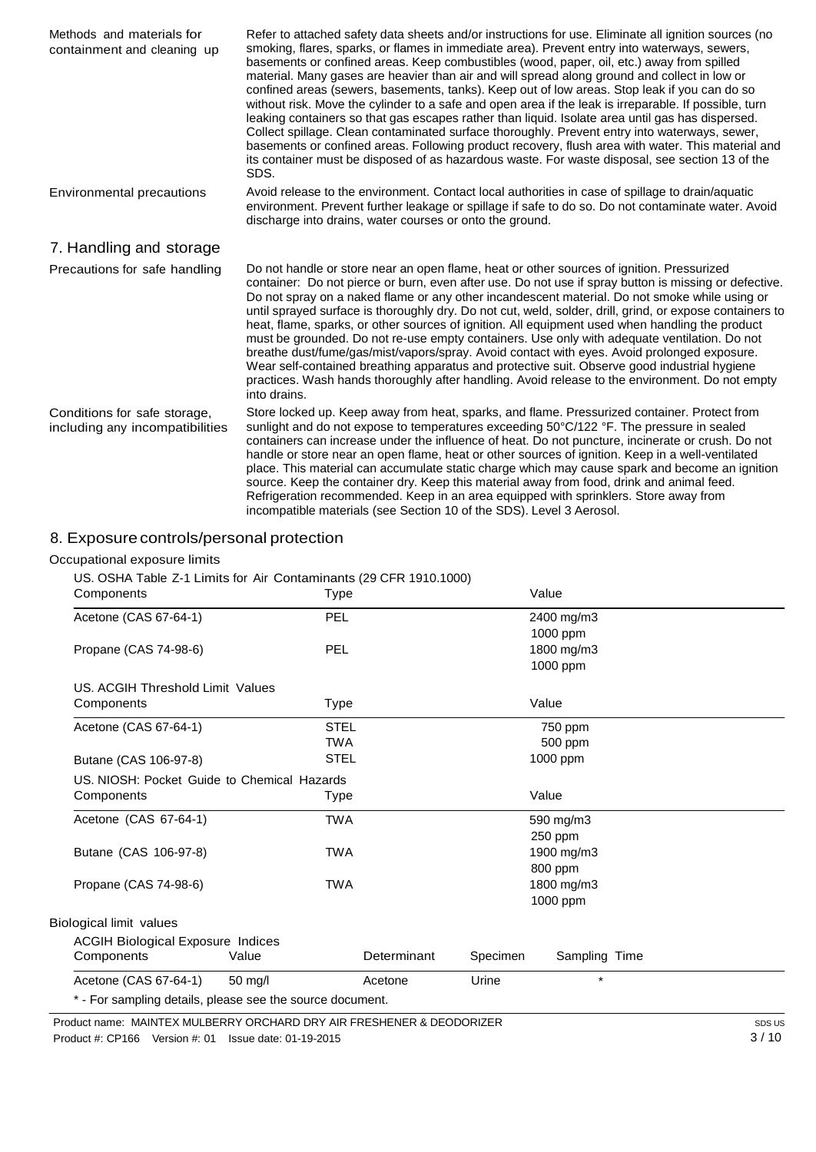| Methods and materials for<br>containment and cleaning up        | Refer to attached safety data sheets and/or instructions for use. Eliminate all ignition sources (no<br>smoking, flares, sparks, or flames in immediate area). Prevent entry into waterways, sewers,<br>basements or confined areas. Keep combustibles (wood, paper, oil, etc.) away from spilled<br>material. Many gases are heavier than air and will spread along ground and collect in low or<br>confined areas (sewers, basements, tanks). Keep out of low areas. Stop leak if you can do so<br>without risk. Move the cylinder to a safe and open area if the leak is irreparable. If possible, turn<br>leaking containers so that gas escapes rather than liguid. Isolate area until gas has dispersed.<br>Collect spillage. Clean contaminated surface thoroughly. Prevent entry into waterways, sewer,<br>basements or confined areas. Following product recovery, flush area with water. This material and<br>its container must be disposed of as hazardous waste. For waste disposal, see section 13 of the<br>SDS. |
|-----------------------------------------------------------------|---------------------------------------------------------------------------------------------------------------------------------------------------------------------------------------------------------------------------------------------------------------------------------------------------------------------------------------------------------------------------------------------------------------------------------------------------------------------------------------------------------------------------------------------------------------------------------------------------------------------------------------------------------------------------------------------------------------------------------------------------------------------------------------------------------------------------------------------------------------------------------------------------------------------------------------------------------------------------------------------------------------------------------|
| Environmental precautions                                       | Avoid release to the environment. Contact local authorities in case of spillage to drain/aquatic<br>environment. Prevent further leakage or spillage if safe to do so. Do not contaminate water. Avoid<br>discharge into drains, water courses or onto the ground.                                                                                                                                                                                                                                                                                                                                                                                                                                                                                                                                                                                                                                                                                                                                                              |
| 7. Handling and storage                                         |                                                                                                                                                                                                                                                                                                                                                                                                                                                                                                                                                                                                                                                                                                                                                                                                                                                                                                                                                                                                                                 |
| Precautions for safe handling                                   | Do not handle or store near an open flame, heat or other sources of ignition. Pressurized<br>container: Do not pierce or burn, even after use. Do not use if spray button is missing or defective.<br>Do not spray on a naked flame or any other incandescent material. Do not smoke while using or<br>until sprayed surface is thoroughly dry. Do not cut, weld, solder, drill, grind, or expose containers to<br>heat, flame, sparks, or other sources of ignition. All equipment used when handling the product<br>must be grounded. Do not re-use empty containers. Use only with adequate ventilation. Do not<br>breathe dust/fume/gas/mist/vapors/spray. Avoid contact with eyes. Avoid prolonged exposure.<br>Wear self-contained breathing apparatus and protective suit. Observe good industrial hygiene<br>practices. Wash hands thoroughly after handling. Avoid release to the environment. Do not empty<br>into drains.                                                                                            |
| Conditions for safe storage,<br>including any incompatibilities | Store locked up. Keep away from heat, sparks, and flame. Pressurized container. Protect from<br>sunlight and do not expose to temperatures exceeding 50°C/122 °F. The pressure in sealed<br>containers can increase under the influence of heat. Do not puncture, incinerate or crush. Do not<br>handle or store near an open flame, heat or other sources of ignition. Keep in a well-ventilated<br>place. This material can accumulate static charge which may cause spark and become an ignition<br>source. Keep the container dry. Keep this material away from food, drink and animal feed.<br>Refrigeration recommended. Keep in an area equipped with sprinklers. Store away from<br>incompatible materials (see Section 10 of the SDS). Level 3 Aerosol.                                                                                                                                                                                                                                                                |

# 8. Exposure controls/personal protection

#### Occupational exposure limits

US. OSHA Table Z-1 Limits for Air Contaminants (29 CFR 1910.1000)

| Components                                  | <b>Type</b>                                               |             |          | Value         |  |
|---------------------------------------------|-----------------------------------------------------------|-------------|----------|---------------|--|
| Acetone (CAS 67-64-1)                       | <b>PEL</b>                                                |             |          | 2400 mg/m3    |  |
|                                             |                                                           |             |          | 1000 ppm      |  |
| Propane (CAS 74-98-6)                       | PEL                                                       |             |          | 1800 mg/m3    |  |
|                                             |                                                           |             |          | 1000 ppm      |  |
| US. ACGIH Threshold Limit Values            |                                                           |             |          |               |  |
| Components                                  | Type                                                      |             |          | Value         |  |
| Acetone (CAS 67-64-1)                       | <b>STEL</b>                                               |             |          | 750 ppm       |  |
|                                             | TWA                                                       |             |          | 500 ppm       |  |
| Butane (CAS 106-97-8)                       | <b>STEL</b>                                               |             |          | 1000 ppm      |  |
| US. NIOSH: Pocket Guide to Chemical Hazards |                                                           |             |          |               |  |
| Components                                  | Type                                                      |             |          | Value         |  |
| Acetone (CAS 67-64-1)                       | <b>TWA</b>                                                |             |          | 590 mg/m3     |  |
|                                             |                                                           |             |          | 250 ppm       |  |
| Butane (CAS 106-97-8)                       | <b>TWA</b>                                                |             |          | 1900 mg/m3    |  |
|                                             |                                                           |             |          | 800 ppm       |  |
| Propane (CAS 74-98-6)                       | <b>TWA</b>                                                |             |          | 1800 mg/m3    |  |
|                                             |                                                           |             |          | 1000 ppm      |  |
| Biological limit values                     |                                                           |             |          |               |  |
| <b>ACGIH Biological Exposure Indices</b>    |                                                           |             |          |               |  |
| Components                                  | Value                                                     | Determinant | Specimen | Sampling Time |  |
| Acetone (CAS 67-64-1)                       | 50 mg/l                                                   | Acetone     | Urine    | $\star$       |  |
|                                             | * - For sampling details, please see the source document. |             |          |               |  |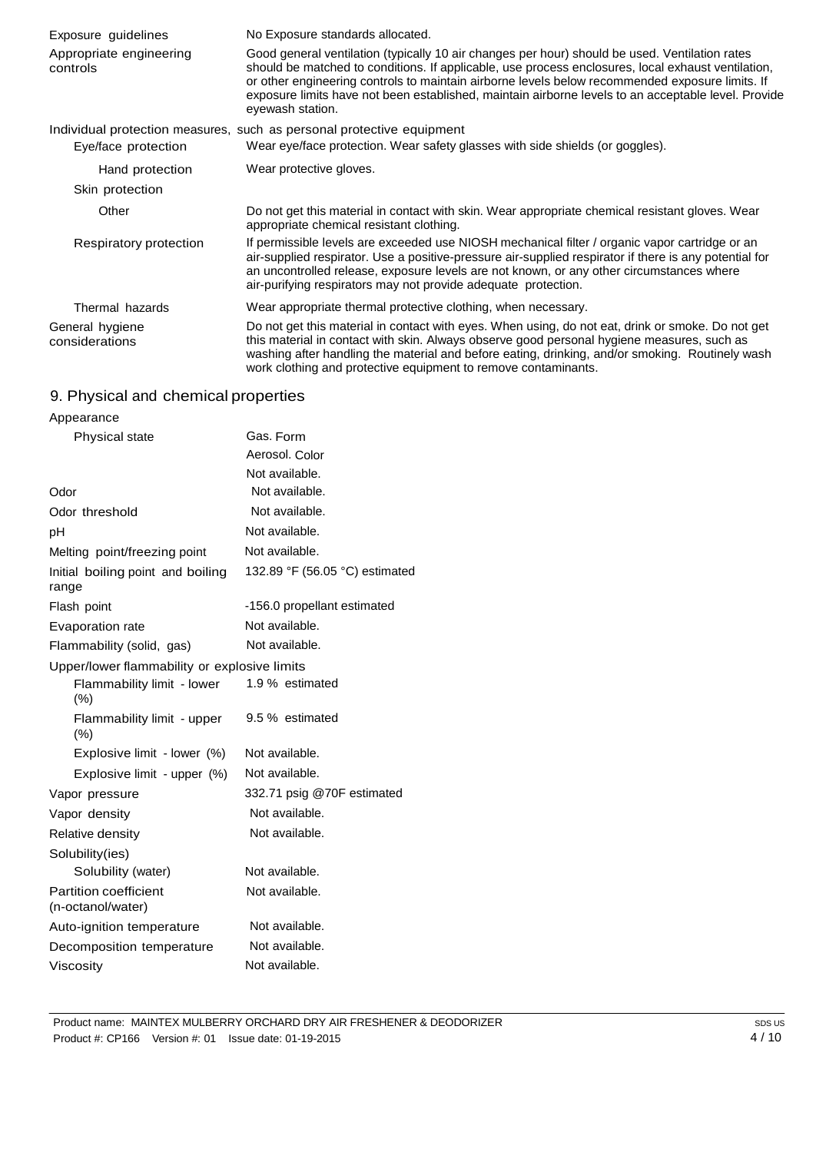| Exposure guidelines                 | No Exposure standards allocated.                                                                                                                                                                                                                                                                                                                                                                                                   |  |  |
|-------------------------------------|------------------------------------------------------------------------------------------------------------------------------------------------------------------------------------------------------------------------------------------------------------------------------------------------------------------------------------------------------------------------------------------------------------------------------------|--|--|
| Appropriate engineering<br>controls | Good general ventilation (typically 10 air changes per hour) should be used. Ventilation rates<br>should be matched to conditions. If applicable, use process enclosures, local exhaust ventilation,<br>or other engineering controls to maintain airborne levels below recommended exposure limits. If<br>exposure limits have not been established, maintain airborne levels to an acceptable level. Provide<br>eyewash station. |  |  |
|                                     | Individual protection measures, such as personal protective equipment                                                                                                                                                                                                                                                                                                                                                              |  |  |
| Eye/face protection                 | Wear eye/face protection. Wear safety glasses with side shields (or goggles).                                                                                                                                                                                                                                                                                                                                                      |  |  |
| Hand protection                     | Wear protective gloves.                                                                                                                                                                                                                                                                                                                                                                                                            |  |  |
| Skin protection                     |                                                                                                                                                                                                                                                                                                                                                                                                                                    |  |  |
| Other                               | Do not get this material in contact with skin. Wear appropriate chemical resistant gloves. Wear<br>appropriate chemical resistant clothing.                                                                                                                                                                                                                                                                                        |  |  |
| Respiratory protection              | If permissible levels are exceeded use NIOSH mechanical filter / organic vapor cartridge or an<br>air-supplied respirator. Use a positive-pressure air-supplied respirator if there is any potential for<br>an uncontrolled release, exposure levels are not known, or any other circumstances where<br>air-purifying respirators may not provide adequate protection.                                                             |  |  |
| Thermal hazards                     | Wear appropriate thermal protective clothing, when necessary.                                                                                                                                                                                                                                                                                                                                                                      |  |  |
| General hygiene<br>considerations   | Do not get this material in contact with eyes. When using, do not eat, drink or smoke. Do not get<br>this material in contact with skin. Always observe good personal hygiene measures, such as<br>washing after handling the material and before eating, drinking, and/or smoking. Routinely wash<br>work clothing and protective equipment to remove contaminants.                                                               |  |  |

#### 9. Physical and chemical properties

| Appearance                                   |                                |  |
|----------------------------------------------|--------------------------------|--|
| Physical state                               | Gas. Form                      |  |
|                                              | Aerosol. Color                 |  |
|                                              | Not available.                 |  |
| Odor                                         | Not available.                 |  |
| Odor threshold                               | Not available.                 |  |
| рH                                           | Not available.                 |  |
| Melting point/freezing point                 | Not available.                 |  |
| Initial boiling point and boiling<br>range   | 132.89 °F (56.05 °C) estimated |  |
| Flash point                                  | -156.0 propellant estimated    |  |
| Evaporation rate                             | Not available.                 |  |
| Flammability (solid, gas)                    | Not available.                 |  |
| Upper/lower flammability or explosive limits |                                |  |
| Flammability limit - lower<br>(%)            | 1.9 % estimated                |  |
| Flammability limit - upper<br>(%)            | 9.5 % estimated                |  |
| Explosive limit - lower (%)                  | Not available.                 |  |
| Explosive limit - upper (%)                  | Not available.                 |  |
| Vapor pressure                               | 332.71 psig @70F estimated     |  |
| Vapor density                                | Not available.                 |  |
| Relative density                             | Not available.                 |  |
| Solubility(ies)                              |                                |  |
| Solubility (water)                           | Not available.                 |  |
| Partition coefficient<br>(n-octanol/water)   | Not available.                 |  |
| Auto-ignition temperature                    | Not available.                 |  |
| Decomposition temperature                    | Not available.                 |  |
| Viscosity                                    | Not available.                 |  |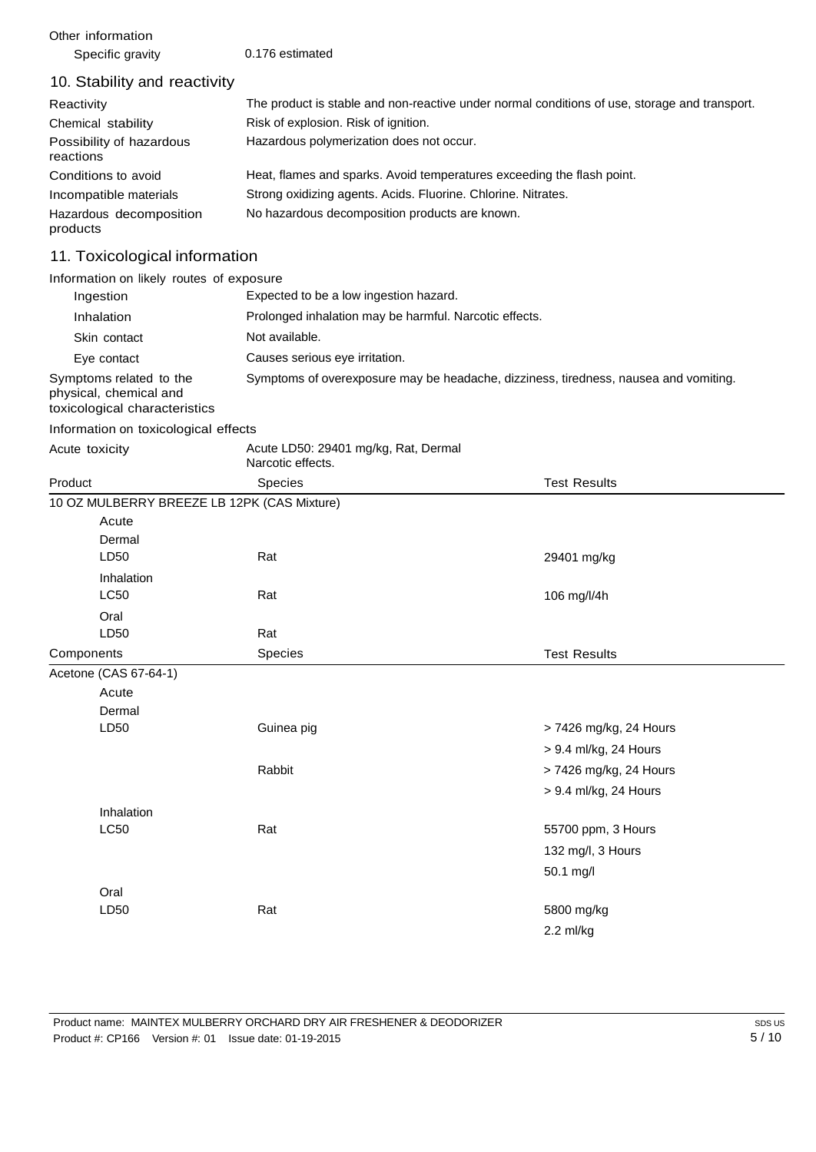Other information Specific gravity 0.176 estimated

#### 10. Stability and reactivity

| Reactivity                            | The product is stable and non-reactive under normal conditions of use, storage and transport. |
|---------------------------------------|-----------------------------------------------------------------------------------------------|
| Chemical stability                    | Risk of explosion. Risk of ignition.                                                          |
| Possibility of hazardous<br>reactions | Hazardous polymerization does not occur.                                                      |
| Conditions to avoid                   | Heat, flames and sparks. Avoid temperatures exceeding the flash point.                        |
| Incompatible materials                | Strong oxidizing agents. Acids. Fluorine. Chlorine. Nitrates.                                 |
| Hazardous decomposition<br>products   | No hazardous decomposition products are known.                                                |

# 11. Toxicological information

Information on likely routes of exposure

| Ingestion                                                                          | Expected to be a low ingestion hazard.                                               |
|------------------------------------------------------------------------------------|--------------------------------------------------------------------------------------|
| Inhalation                                                                         | Prolonged inhalation may be harmful. Narcotic effects.                               |
| Skin contact                                                                       | Not available.                                                                       |
| Eye contact                                                                        | Causes serious eye irritation.                                                       |
| Symptoms related to the<br>physical, chemical and<br>toxicological characteristics | Symptoms of overexposure may be headache, dizziness, tiredness, nausea and vomiting. |

Information on toxicological effects

| Acute toxicity        | Acute LD50: 29401 mg/kg, Rat, Dermal<br>Narcotic effects. |                        |
|-----------------------|-----------------------------------------------------------|------------------------|
| Product               | Species                                                   | <b>Test Results</b>    |
|                       | 10 OZ MULBERRY BREEZE LB 12PK (CAS Mixture)               |                        |
| Acute                 |                                                           |                        |
| Dermal                |                                                           |                        |
| LD50                  | Rat                                                       | 29401 mg/kg            |
| Inhalation            |                                                           |                        |
| <b>LC50</b>           | Rat                                                       | 106 mg/l/4h            |
| Oral                  |                                                           |                        |
| LD50                  | Rat                                                       |                        |
| Components            | Species                                                   | <b>Test Results</b>    |
| Acetone (CAS 67-64-1) |                                                           |                        |
| Acute                 |                                                           |                        |
| Dermal                |                                                           |                        |
| LD50                  | Guinea pig                                                | > 7426 mg/kg, 24 Hours |
|                       |                                                           | > 9.4 ml/kg, 24 Hours  |
|                       | Rabbit                                                    | > 7426 mg/kg, 24 Hours |
|                       |                                                           | > 9.4 ml/kg, 24 Hours  |
| Inhalation            |                                                           |                        |
| <b>LC50</b>           | Rat                                                       | 55700 ppm, 3 Hours     |
|                       |                                                           | 132 mg/l, 3 Hours      |
|                       |                                                           | 50.1 mg/l              |
| Oral                  |                                                           |                        |
| LD50                  | Rat                                                       | 5800 mg/kg             |
|                       |                                                           | $2.2$ ml/kg            |
|                       |                                                           |                        |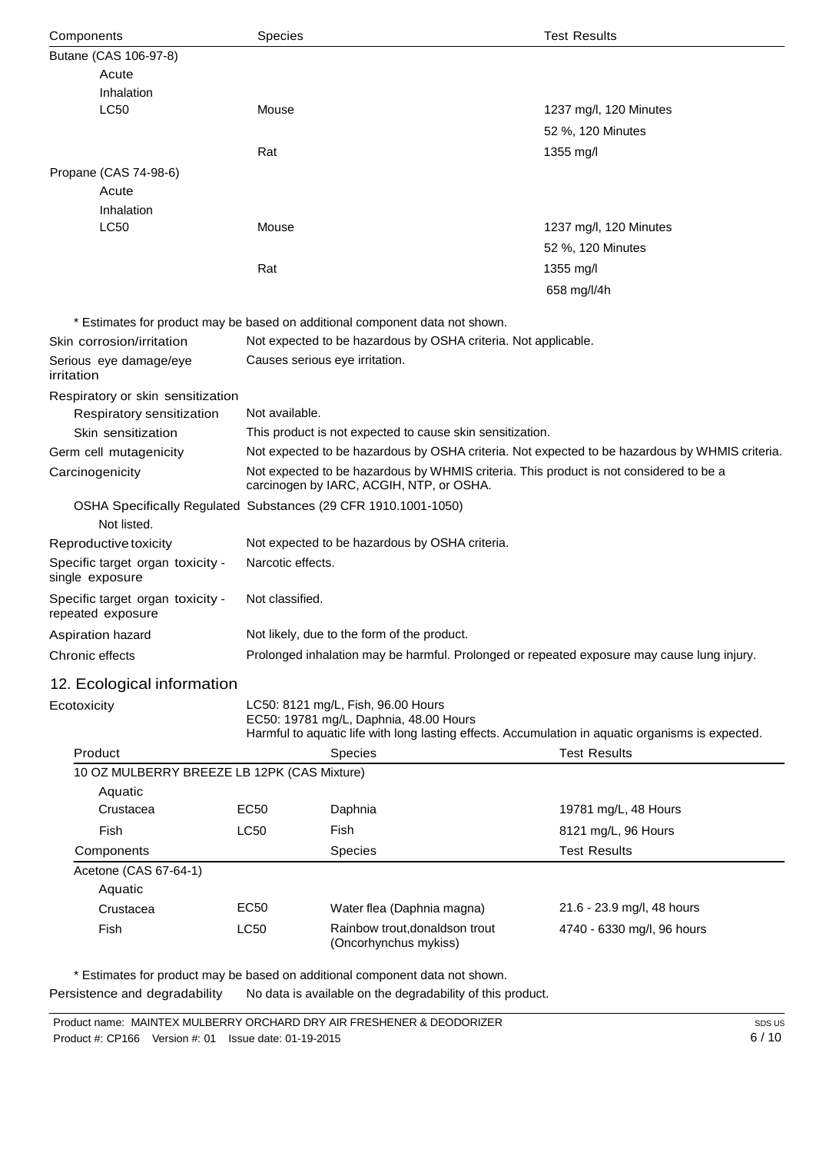| Components                                             | Species                                                                                                                            |                                                                              | <b>Test Results</b>                                                                               |  |
|--------------------------------------------------------|------------------------------------------------------------------------------------------------------------------------------------|------------------------------------------------------------------------------|---------------------------------------------------------------------------------------------------|--|
| Butane (CAS 106-97-8)                                  |                                                                                                                                    |                                                                              |                                                                                                   |  |
| Acute                                                  |                                                                                                                                    |                                                                              |                                                                                                   |  |
| Inhalation                                             |                                                                                                                                    |                                                                              |                                                                                                   |  |
| <b>LC50</b>                                            | Mouse                                                                                                                              |                                                                              | 1237 mg/l, 120 Minutes                                                                            |  |
|                                                        |                                                                                                                                    |                                                                              | 52 %, 120 Minutes                                                                                 |  |
|                                                        | Rat                                                                                                                                |                                                                              | 1355 mg/l                                                                                         |  |
| Propane (CAS 74-98-6)                                  |                                                                                                                                    |                                                                              |                                                                                                   |  |
| Acute                                                  |                                                                                                                                    |                                                                              |                                                                                                   |  |
| Inhalation                                             |                                                                                                                                    |                                                                              |                                                                                                   |  |
| <b>LC50</b>                                            | Mouse                                                                                                                              |                                                                              | 1237 mg/l, 120 Minutes                                                                            |  |
|                                                        |                                                                                                                                    |                                                                              | 52 %, 120 Minutes                                                                                 |  |
|                                                        | Rat                                                                                                                                |                                                                              | 1355 mg/l                                                                                         |  |
|                                                        |                                                                                                                                    |                                                                              | 658 mg/l/4h                                                                                       |  |
|                                                        |                                                                                                                                    | * Estimates for product may be based on additional component data not shown. |                                                                                                   |  |
| Skin corrosion/irritation                              |                                                                                                                                    | Not expected to be hazardous by OSHA criteria. Not applicable.               |                                                                                                   |  |
| Serious eye damage/eye<br>irritation                   |                                                                                                                                    | Causes serious eye irritation.                                               |                                                                                                   |  |
| Respiratory or skin sensitization                      |                                                                                                                                    |                                                                              |                                                                                                   |  |
| Respiratory sensitization                              | Not available.                                                                                                                     |                                                                              |                                                                                                   |  |
| Skin sensitization                                     |                                                                                                                                    | This product is not expected to cause skin sensitization.                    |                                                                                                   |  |
| Germ cell mutagenicity                                 |                                                                                                                                    |                                                                              | Not expected to be hazardous by OSHA criteria. Not expected to be hazardous by WHMIS criteria.    |  |
| Carcinogenicity                                        | Not expected to be hazardous by WHMIS criteria. This product is not considered to be a<br>carcinogen by IARC, ACGIH, NTP, or OSHA. |                                                                              |                                                                                                   |  |
| Not listed.                                            | OSHA Specifically Regulated Substances (29 CFR 1910.1001-1050)                                                                     |                                                                              |                                                                                                   |  |
| Reproductive toxicity                                  | Not expected to be hazardous by OSHA criteria.                                                                                     |                                                                              |                                                                                                   |  |
| Specific target organ toxicity -<br>single exposure    | Narcotic effects.                                                                                                                  |                                                                              |                                                                                                   |  |
| Specific target organ toxicity -<br>repeated exposure  | Not classified.                                                                                                                    |                                                                              |                                                                                                   |  |
|                                                        |                                                                                                                                    | Not likely, due to the form of the product.                                  |                                                                                                   |  |
| Aspiration hazard<br>Chronic effects                   |                                                                                                                                    |                                                                              | Prolonged inhalation may be harmful. Prolonged or repeated exposure may cause lung injury.        |  |
|                                                        |                                                                                                                                    |                                                                              |                                                                                                   |  |
| 12. Ecological information                             |                                                                                                                                    |                                                                              |                                                                                                   |  |
| Ecotoxicity                                            |                                                                                                                                    | LC50: 8121 mg/L, Fish, 96.00 Hours<br>EC50: 19781 mg/L, Daphnia, 48.00 Hours | Harmful to aquatic life with long lasting effects. Accumulation in aquatic organisms is expected. |  |
| Product                                                |                                                                                                                                    | Species                                                                      | <b>Test Results</b>                                                                               |  |
| 10 OZ MULBERRY BREEZE LB 12PK (CAS Mixture)<br>Aquatic |                                                                                                                                    |                                                                              |                                                                                                   |  |
| Crustacea                                              | <b>EC50</b>                                                                                                                        | Daphnia                                                                      | 19781 mg/L, 48 Hours                                                                              |  |
| Fish                                                   | <b>LC50</b>                                                                                                                        | Fish                                                                         | 8121 mg/L, 96 Hours                                                                               |  |
| Components                                             |                                                                                                                                    | <b>Species</b>                                                               | <b>Test Results</b>                                                                               |  |
| Acetone (CAS 67-64-1)                                  |                                                                                                                                    |                                                                              |                                                                                                   |  |
| Aquatic                                                |                                                                                                                                    |                                                                              |                                                                                                   |  |
| Crustacea                                              | EC50                                                                                                                               | Water flea (Daphnia magna)                                                   | 21.6 - 23.9 mg/l, 48 hours                                                                        |  |
| Fish                                                   | LC50                                                                                                                               | Rainbow trout, donaldson trout<br>(Oncorhynchus mykiss)                      | 4740 - 6330 mg/l, 96 hours                                                                        |  |
|                                                        |                                                                                                                                    | * Estimates for product may be based on additional component data not shown. |                                                                                                   |  |

Persistence and degradability No data is available on the degradability of this product.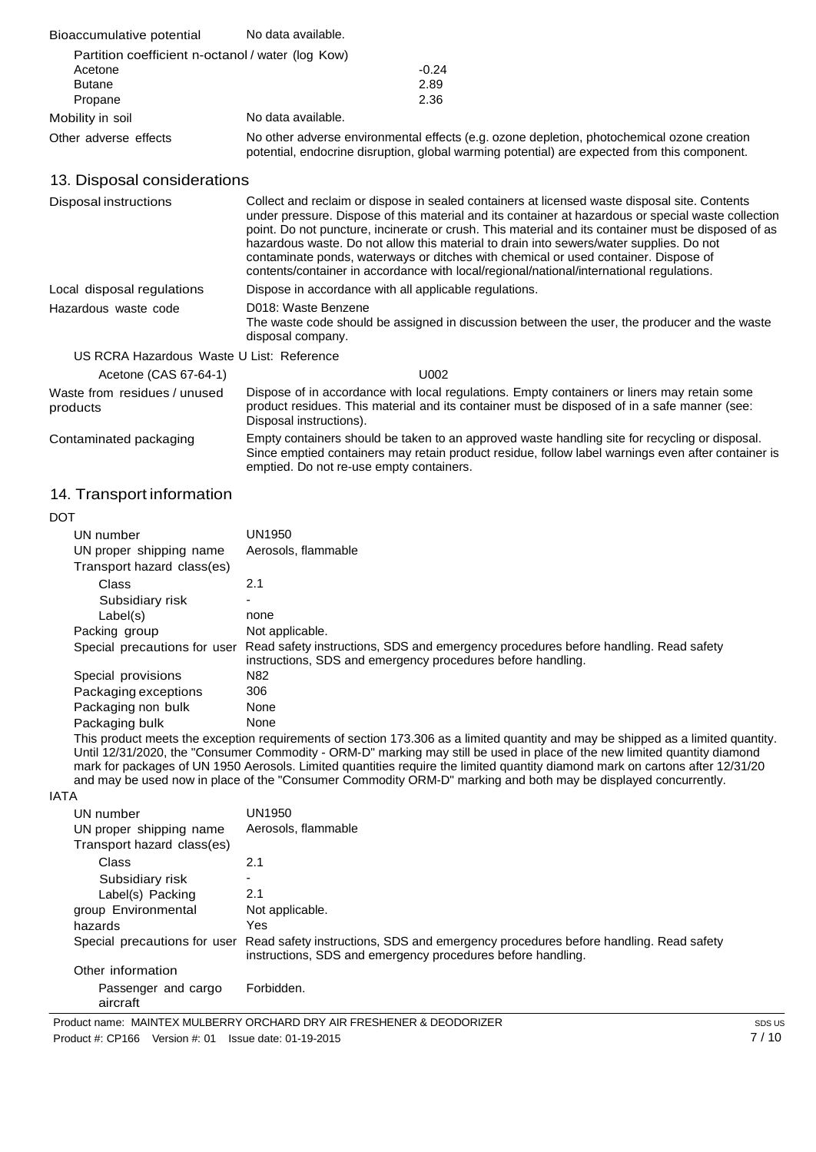| Bioaccumulative potential                         | No data available.                                                                                                                                                                         |  |
|---------------------------------------------------|--------------------------------------------------------------------------------------------------------------------------------------------------------------------------------------------|--|
| Partition coefficient n-octanol / water (log Kow) |                                                                                                                                                                                            |  |
| Acetone                                           | $-0.24$                                                                                                                                                                                    |  |
| <b>Butane</b>                                     | 2.89                                                                                                                                                                                       |  |
| Propane                                           | 2.36                                                                                                                                                                                       |  |
| Mobility in soil                                  | No data available.                                                                                                                                                                         |  |
| Other adverse effects                             | No other adverse environmental effects (e.g. ozone depletion, photochemical ozone creation<br>potential, endocrine disruption, global warming potential) are expected from this component. |  |

# 13. Disposal considerations

| Disposal instructions                     | Collect and reclaim or dispose in sealed containers at licensed waste disposal site. Contents<br>under pressure. Dispose of this material and its container at hazardous or special waste collection<br>point. Do not puncture, incinerate or crush. This material and its container must be disposed of as<br>hazardous waste. Do not allow this material to drain into sewers/water supplies. Do not<br>contaminate ponds, waterways or ditches with chemical or used container. Dispose of<br>contents/container in accordance with local/regional/national/international regulations. |
|-------------------------------------------|-------------------------------------------------------------------------------------------------------------------------------------------------------------------------------------------------------------------------------------------------------------------------------------------------------------------------------------------------------------------------------------------------------------------------------------------------------------------------------------------------------------------------------------------------------------------------------------------|
| Local disposal regulations                | Dispose in accordance with all applicable regulations.                                                                                                                                                                                                                                                                                                                                                                                                                                                                                                                                    |
| Hazardous waste code                      | D018: Waste Benzene<br>The waste code should be assigned in discussion between the user, the producer and the waste<br>disposal company.                                                                                                                                                                                                                                                                                                                                                                                                                                                  |
| US RCRA Hazardous Waste U List: Reference |                                                                                                                                                                                                                                                                                                                                                                                                                                                                                                                                                                                           |
| Acetone (CAS 67-64-1)                     | U002                                                                                                                                                                                                                                                                                                                                                                                                                                                                                                                                                                                      |
| Waste from residues / unused<br>products  | Dispose of in accordance with local regulations. Empty containers or liners may retain some<br>product residues. This material and its container must be disposed of in a safe manner (see:<br>Disposal instructions).                                                                                                                                                                                                                                                                                                                                                                    |
| Contaminated packaging                    | Empty containers should be taken to an approved waste handling site for recycling or disposal.<br>Since emptied containers may retain product residue, follow label warnings even after container is<br>emptied. Do not re-use empty containers.                                                                                                                                                                                                                                                                                                                                          |

# 14. Transport information

| DOT  |                                                                                                                                                                                                                                                                                                                                                                              |                                                                                                                                                    |  |
|------|------------------------------------------------------------------------------------------------------------------------------------------------------------------------------------------------------------------------------------------------------------------------------------------------------------------------------------------------------------------------------|----------------------------------------------------------------------------------------------------------------------------------------------------|--|
|      | UN number                                                                                                                                                                                                                                                                                                                                                                    | UN1950                                                                                                                                             |  |
|      | UN proper shipping name                                                                                                                                                                                                                                                                                                                                                      | Aerosols, flammable                                                                                                                                |  |
|      | Transport hazard class(es)                                                                                                                                                                                                                                                                                                                                                   |                                                                                                                                                    |  |
|      | Class                                                                                                                                                                                                                                                                                                                                                                        | 2.1                                                                                                                                                |  |
|      | Subsidiary risk                                                                                                                                                                                                                                                                                                                                                              | $\overline{\phantom{0}}$                                                                                                                           |  |
|      | Label(s)                                                                                                                                                                                                                                                                                                                                                                     | none                                                                                                                                               |  |
|      | Packing group                                                                                                                                                                                                                                                                                                                                                                | Not applicable.                                                                                                                                    |  |
|      | Special precautions for user                                                                                                                                                                                                                                                                                                                                                 | Read safety instructions, SDS and emergency procedures before handling. Read safety<br>instructions, SDS and emergency procedures before handling. |  |
|      | Special provisions                                                                                                                                                                                                                                                                                                                                                           | N <sub>82</sub>                                                                                                                                    |  |
|      | Packaging exceptions                                                                                                                                                                                                                                                                                                                                                         | 306                                                                                                                                                |  |
|      | Packaging non bulk                                                                                                                                                                                                                                                                                                                                                           | None                                                                                                                                               |  |
|      | Packaging bulk                                                                                                                                                                                                                                                                                                                                                               | None                                                                                                                                               |  |
|      | This product meets the exception requirements of section 173.306 as a limited quantity and may be shipped as a limited quantity.                                                                                                                                                                                                                                             |                                                                                                                                                    |  |
|      | Until 12/31/2020, the "Consumer Commodity - ORM-D" marking may still be used in place of the new limited quantity diamond<br>mark for packages of UN 1950 Aerosols. Limited quantities require the limited quantity diamond mark on cartons after 12/31/20<br>and may be used now in place of the "Consumer Commodity ORM-D" marking and both may be displayed concurrently. |                                                                                                                                                    |  |
| IATA |                                                                                                                                                                                                                                                                                                                                                                              |                                                                                                                                                    |  |
|      |                                                                                                                                                                                                                                                                                                                                                                              |                                                                                                                                                    |  |

| UN number                       | UN1950                                                                                                                                             |
|---------------------------------|----------------------------------------------------------------------------------------------------------------------------------------------------|
| UN proper shipping name         | Aerosols, flammable                                                                                                                                |
| Transport hazard class(es)      |                                                                                                                                                    |
| Class                           | 2.1                                                                                                                                                |
| Subsidiary risk                 | ۰                                                                                                                                                  |
| Label(s) Packing                | 2.1                                                                                                                                                |
| group Environmental             | Not applicable.                                                                                                                                    |
| hazards                         | Yes                                                                                                                                                |
| Special precautions for user    | Read safety instructions, SDS and emergency procedures before handling. Read safety<br>instructions, SDS and emergency procedures before handling. |
| Other information               |                                                                                                                                                    |
| Passenger and cargo<br>aircraft | Forbidden.                                                                                                                                         |
|                                 |                                                                                                                                                    |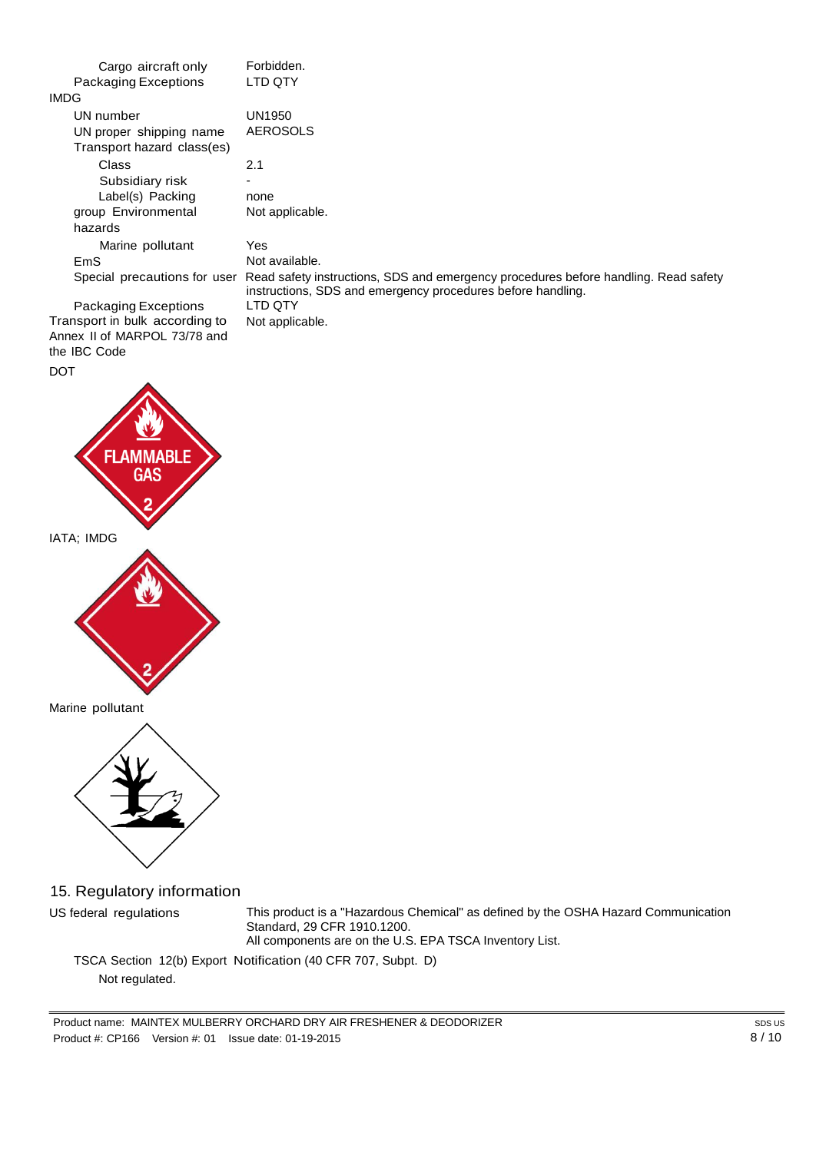| Cargo aircraft only                                   | Forbidden.                                                                                                                                         |
|-------------------------------------------------------|----------------------------------------------------------------------------------------------------------------------------------------------------|
| Packaging Exceptions                                  | LTD QTY                                                                                                                                            |
| <b>IMDG</b>                                           |                                                                                                                                                    |
| UN number                                             | UN1950                                                                                                                                             |
| UN proper shipping name<br>Transport hazard class(es) | AEROSOLS                                                                                                                                           |
| Class                                                 | 2.1                                                                                                                                                |
| Subsidiary risk                                       |                                                                                                                                                    |
| Label(s) Packing                                      | none                                                                                                                                               |
| group Environmental                                   | Not applicable.                                                                                                                                    |
| hazards                                               |                                                                                                                                                    |
| Marine pollutant                                      | Yes                                                                                                                                                |
| EmS                                                   | Not available.                                                                                                                                     |
| Special precautions for user                          | Read safety instructions, SDS and emergency procedures before handling. Read safety<br>instructions, SDS and emergency procedures before handling. |
| Packaging Exceptions                                  | LTD OTY                                                                                                                                            |
| Transport in bulk according to                        | Not applicable.                                                                                                                                    |

Transport in bulk according to Annex II of MARPOL 73/78 and the IBC Code DOT

# **FLAMM** 31 F IATA; IMDG



Marine pollutant



15. Regulatory information

US federal regulations This product is a "Hazardous Chemical" as defined by the OSHA Hazard Communication Standard, 29 CFR 1910.1200. All components are on the U.S. EPA TSCA Inventory List.

TSCA Section 12(b) Export Notification (40 CFR 707, Subpt. D) Not regulated.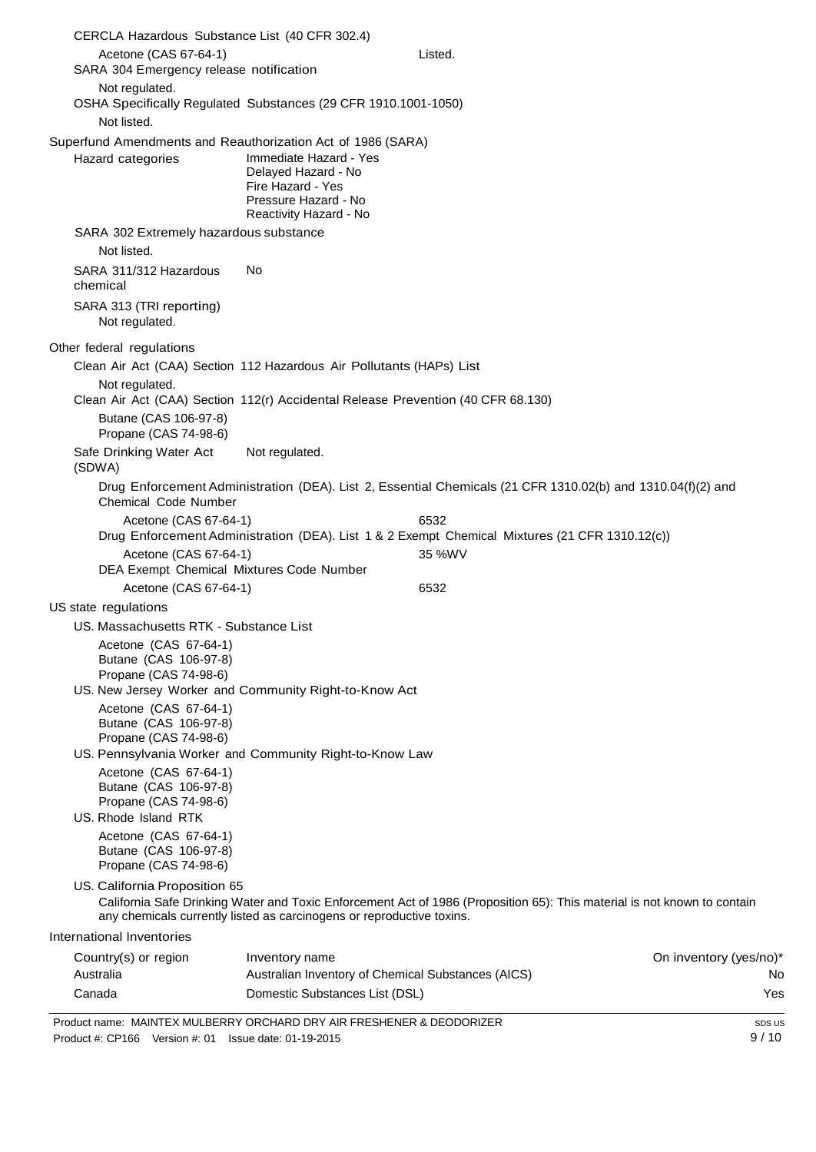| CERCLA Hazardous Substance List (40 CFR 302.4)                                                                                     |                                                                                                                      |                                                                                                                          |                               |
|------------------------------------------------------------------------------------------------------------------------------------|----------------------------------------------------------------------------------------------------------------------|--------------------------------------------------------------------------------------------------------------------------|-------------------------------|
| Acetone (CAS 67-64-1)                                                                                                              |                                                                                                                      | Listed.                                                                                                                  |                               |
| SARA 304 Emergency release notification                                                                                            |                                                                                                                      |                                                                                                                          |                               |
| Not regulated.<br>OSHA Specifically Regulated Substances (29 CFR 1910.1001-1050)<br>Not listed.                                    |                                                                                                                      |                                                                                                                          |                               |
| Superfund Amendments and Reauthorization Act of 1986 (SARA)<br>Hazard categories                                                   | Immediate Hazard - Yes<br>Delayed Hazard - No<br>Fire Hazard - Yes<br>Pressure Hazard - No<br>Reactivity Hazard - No |                                                                                                                          |                               |
| SARA 302 Extremely hazardous substance<br>Not listed.                                                                              |                                                                                                                      |                                                                                                                          |                               |
| SARA 311/312 Hazardous<br>chemical                                                                                                 | No                                                                                                                   |                                                                                                                          |                               |
| SARA 313 (TRI reporting)<br>Not regulated.                                                                                         |                                                                                                                      |                                                                                                                          |                               |
| Other federal regulations                                                                                                          |                                                                                                                      |                                                                                                                          |                               |
| Clean Air Act (CAA) Section 112 Hazardous Air Pollutants (HAPs) List                                                               |                                                                                                                      |                                                                                                                          |                               |
| Not regulated.<br>Clean Air Act (CAA) Section 112(r) Accidental Release Prevention (40 CFR 68.130)                                 |                                                                                                                      |                                                                                                                          |                               |
| Butane (CAS 106-97-8)<br>Propane (CAS 74-98-6)                                                                                     |                                                                                                                      |                                                                                                                          |                               |
| Safe Drinking Water Act<br>(SDWA)                                                                                                  | Not regulated.                                                                                                       |                                                                                                                          |                               |
| <b>Chemical Code Number</b>                                                                                                        |                                                                                                                      | Drug Enforcement Administration (DEA). List 2, Essential Chemicals (21 CFR 1310.02(b) and 1310.04(f)(2) and              |                               |
| Acetone (CAS 67-64-1)                                                                                                              |                                                                                                                      | 6532                                                                                                                     |                               |
|                                                                                                                                    |                                                                                                                      | Drug Enforcement Administration (DEA). List 1 & 2 Exempt Chemical Mixtures (21 CFR 1310.12(c))                           |                               |
| Acetone (CAS 67-64-1)<br>DEA Exempt Chemical Mixtures Code Number                                                                  |                                                                                                                      | 35 %WV                                                                                                                   |                               |
| Acetone (CAS 67-64-1)                                                                                                              |                                                                                                                      | 6532                                                                                                                     |                               |
| US state regulations                                                                                                               |                                                                                                                      |                                                                                                                          |                               |
| US. Massachusetts RTK - Substance List                                                                                             |                                                                                                                      |                                                                                                                          |                               |
| Acetone (CAS 67-64-1)<br>Butane (CAS 106-97-8)<br>Propane (CAS 74-98-6)<br>US. New Jersey Worker and Community Right-to-Know Act   |                                                                                                                      |                                                                                                                          |                               |
| Acetone (CAS 67-64-1)<br>Butane (CAS 106-97-8)<br>Propane (CAS 74-98-6)<br>US. Pennsylvania Worker and Community Right-to-Know Law |                                                                                                                      |                                                                                                                          |                               |
| Acetone (CAS 67-64-1)<br>Butane (CAS 106-97-8)<br>Propane (CAS 74-98-6)<br>US. Rhode Island RTK<br>Acetone (CAS 67-64-1)           |                                                                                                                      |                                                                                                                          |                               |
| Butane (CAS 106-97-8)<br>Propane (CAS 74-98-6)                                                                                     |                                                                                                                      |                                                                                                                          |                               |
| US. California Proposition 65                                                                                                      | any chemicals currently listed as carcinogens or reproductive toxins.                                                | California Safe Drinking Water and Toxic Enforcement Act of 1986 (Proposition 65): This material is not known to contain |                               |
| International Inventories                                                                                                          |                                                                                                                      |                                                                                                                          |                               |
| Country(s) or region<br>Australia                                                                                                  | Inventory name<br>Australian Inventory of Chemical Substances (AICS)                                                 |                                                                                                                          | On inventory (yes/no)*<br>No. |
| Canada                                                                                                                             | Domestic Substances List (DSL)                                                                                       |                                                                                                                          | Yes                           |